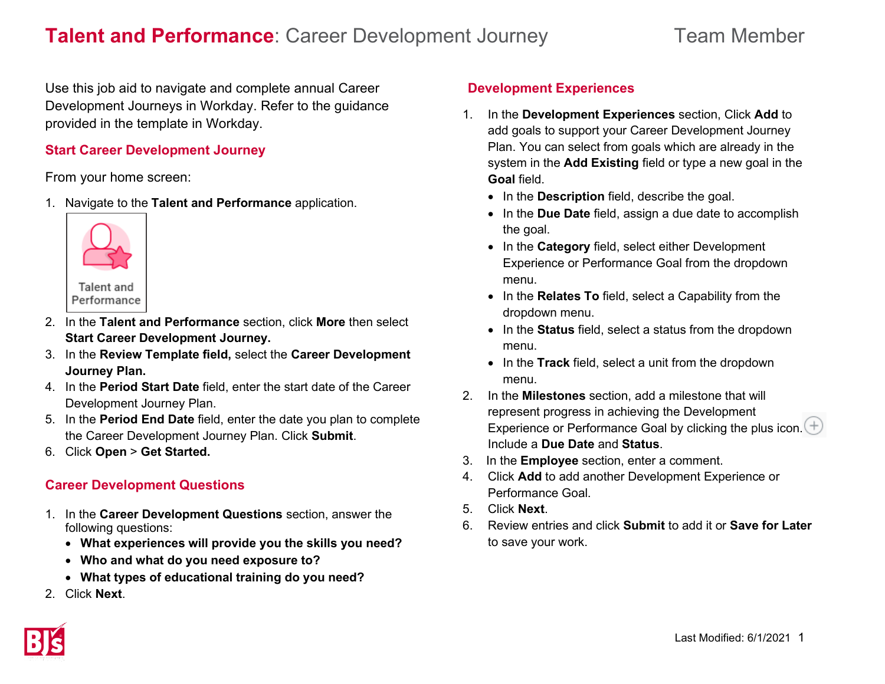# **Talent and Performance**: Career Development Journey Team Member

Use this job aid to navigate and complete annual Career Development Journeys in Workday. Refer to the guidance provided in the template in Workday.

#### **Start Career Development Journey**

From your home screen:

1. Navigate to the **Talent and Performance** application.



- 2. In the **Talent and Performance** section, click **More** then select **Start Career Development Journey.**
- 3. In the **Review Template field,** select the **Career Development Journey Plan.**
- 4. In the **Period Start Date** field, enter the start date of the Career Development Journey Plan.
- 5. In the **Period End Date** field, enter the date you plan to complete the Career Development Journey Plan. Click **Submit**.
- 6. Click **Open** > **Get Started.**

### **Career Development Questions**

- 1. In the **Career Development Questions** section, answer the following questions:
	- **What experiences will provide you the skills you need?**
	- **Who and what do you need exposure to?**
	- **What types of educational training do you need?**
- 2. Click **Next**.

# **Development Experiences**

- 1. In the **Development Experiences** section, Click **Add** to add goals to support your Career Development Journey Plan. You can select from goals which are already in the system in the **Add Existing** field or type a new goal in the **Goal** field.
	- In the **Description** field, describe the goal.
	- In the **Due Date** field, assign a due date to accomplish the goal.
	- In the **Category** field, select either Development Experience or Performance Goal from the dropdown menu.
	- In the **Relates To** field, select a Capability from the dropdown menu.
	- In the **Status** field, select a status from the dropdown menu.
	- In the **Track** field, select a unit from the dropdown menu.
- 2. In the **Milestones** section, add a milestone that will represent progress in achieving the Development Experience or Performance Goal by clicking the plus icon.  $(+)$ Include a **Due Date** and **Status**.
- 3. In the **Employee** section, enter a comment.
- 4. Click **Add** to add another Development Experience or Performance Goal.
- 5. Click **Next**.
- 6. Review entries and click **Submit** to add it or **Save for Later** to save your work.